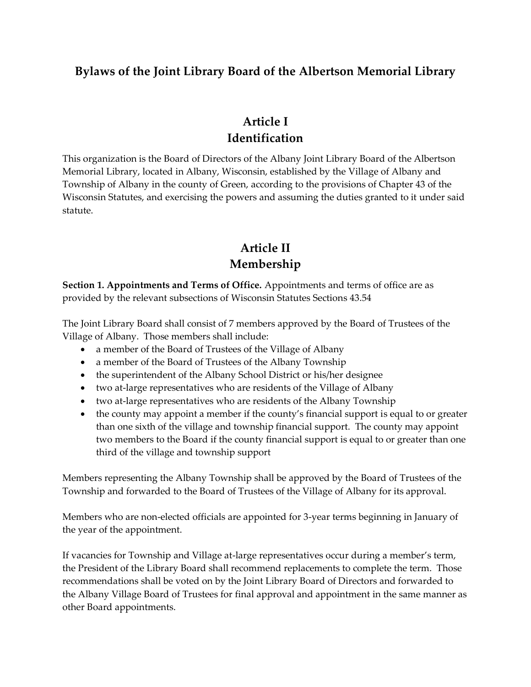#### **Bylaws of the Joint Library Board of the Albertson Memorial Library**

### **Article I Identification**

This organization is the Board of Directors of the Albany Joint Library Board of the Albertson Memorial Library, located in Albany, Wisconsin, established by the Village of Albany and Township of Albany in the county of Green, according to the provisions of Chapter 43 of the Wisconsin Statutes, and exercising the powers and assuming the duties granted to it under said statute.

### **Article II Membership**

**Section 1. Appointments and Terms of Office.** Appointments and terms of office are as provided by the relevant subsections of Wisconsin Statutes Sections 43.54

The Joint Library Board shall consist of 7 members approved by the Board of Trustees of the Village of Albany. Those members shall include:

- a member of the Board of Trustees of the Village of Albany
- a member of the Board of Trustees of the Albany Township
- the superintendent of the Albany School District or his/her designee
- two at-large representatives who are residents of the Village of Albany
- two at-large representatives who are residents of the Albany Township
- the county may appoint a member if the county's financial support is equal to or greater than one sixth of the village and township financial support. The county may appoint two members to the Board if the county financial support is equal to or greater than one third of the village and township support

Members representing the Albany Township shall be approved by the Board of Trustees of the Township and forwarded to the Board of Trustees of the Village of Albany for its approval.

Members who are non-elected officials are appointed for 3-year terms beginning in January of the year of the appointment.

If vacancies for Township and Village at-large representatives occur during a member's term, the President of the Library Board shall recommend replacements to complete the term. Those recommendations shall be voted on by the Joint Library Board of Directors and forwarded to the Albany Village Board of Trustees for final approval and appointment in the same manner as other Board appointments.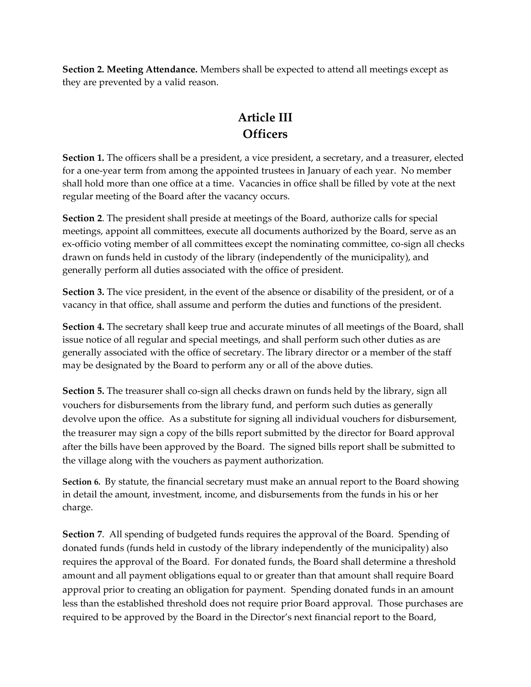**Section 2. Meeting Attendance.** Members shall be expected to attend all meetings except as they are prevented by a valid reason.

## **Article III Officers**

**Section 1.** The officers shall be a president, a vice president, a secretary, and a treasurer, elected for a one-year term from among the appointed trustees in January of each year. No member shall hold more than one office at a time. Vacancies in office shall be filled by vote at the next regular meeting of the Board after the vacancy occurs.

**Section 2**. The president shall preside at meetings of the Board, authorize calls for special meetings, appoint all committees, execute all documents authorized by the Board, serve as an ex-officio voting member of all committees except the nominating committee, co-sign all checks drawn on funds held in custody of the library (independently of the municipality), and generally perform all duties associated with the office of president.

**Section 3.** The vice president, in the event of the absence or disability of the president, or of a vacancy in that office, shall assume and perform the duties and functions of the president.

**Section 4.** The secretary shall keep true and accurate minutes of all meetings of the Board, shall issue notice of all regular and special meetings, and shall perform such other duties as are generally associated with the office of secretary. The library director or a member of the staff may be designated by the Board to perform any or all of the above duties.

**Section 5.** The treasurer shall co-sign all checks drawn on funds held by the library, sign all vouchers for disbursements from the library fund, and perform such duties as generally devolve upon the office. As a substitute for signing all individual vouchers for disbursement, the treasurer may sign a copy of the bills report submitted by the director for Board approval after the bills have been approved by the Board. The signed bills report shall be submitted to the village along with the vouchers as payment authorization.

**Section 6.** By statute, the financial secretary must make an annual report to the Board showing in detail the amount, investment, income, and disbursements from the funds in his or her charge.

**Section 7**. All spending of budgeted funds requires the approval of the Board. Spending of donated funds (funds held in custody of the library independently of the municipality) also requires the approval of the Board. For donated funds, the Board shall determine a threshold amount and all payment obligations equal to or greater than that amount shall require Board approval prior to creating an obligation for payment. Spending donated funds in an amount less than the established threshold does not require prior Board approval. Those purchases are required to be approved by the Board in the Director's next financial report to the Board,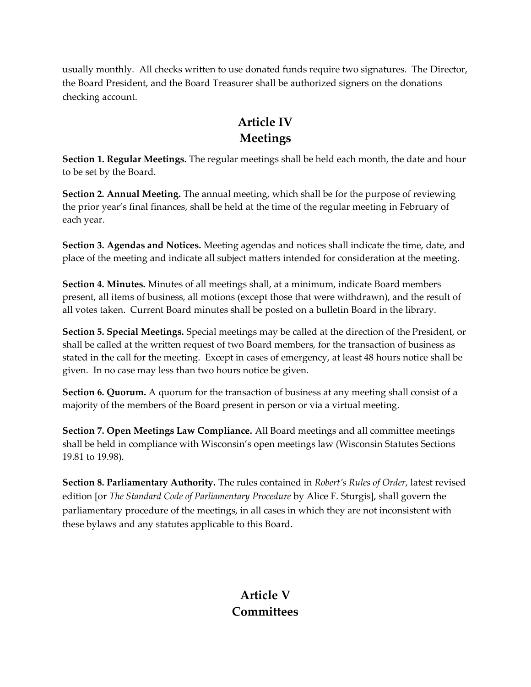usually monthly. All checks written to use donated funds require two signatures. The Director, the Board President, and the Board Treasurer shall be authorized signers on the donations checking account.

## **Article IV Meetings**

**Section 1. Regular Meetings.** The regular meetings shall be held each month, the date and hour to be set by the Board.

**Section 2. Annual Meeting.** The annual meeting, which shall be for the purpose of reviewing the prior year's final finances, shall be held at the time of the regular meeting in February of each year.

**Section 3. Agendas and Notices.** Meeting agendas and notices shall indicate the time, date, and place of the meeting and indicate all subject matters intended for consideration at the meeting.

**Section 4. Minutes.** Minutes of all meetings shall, at a minimum, indicate Board members present, all items of business, all motions (except those that were withdrawn), and the result of all votes taken. Current Board minutes shall be posted on a bulletin Board in the library.

**Section 5. Special Meetings.** Special meetings may be called at the direction of the President, or shall be called at the written request of two Board members, for the transaction of business as stated in the call for the meeting. Except in cases of emergency, at least 48 hours notice shall be given. In no case may less than two hours notice be given.

**Section 6. Quorum.** A quorum for the transaction of business at any meeting shall consist of a majority of the members of the Board present in person or via a virtual meeting.

**Section 7. Open Meetings Law Compliance.** All Board meetings and all committee meetings shall be held in compliance with Wisconsin's open meetings law (Wisconsin Statutes Sections 19.81 to 19.98).

**Section 8. Parliamentary Authority.** The rules contained in *Robert's Rules of Order*, latest revised edition [or *The Standard Code of Parliamentary Procedure* by Alice F. Sturgis], shall govern the parliamentary procedure of the meetings, in all cases in which they are not inconsistent with these bylaws and any statutes applicable to this Board.

## **Article V Committees**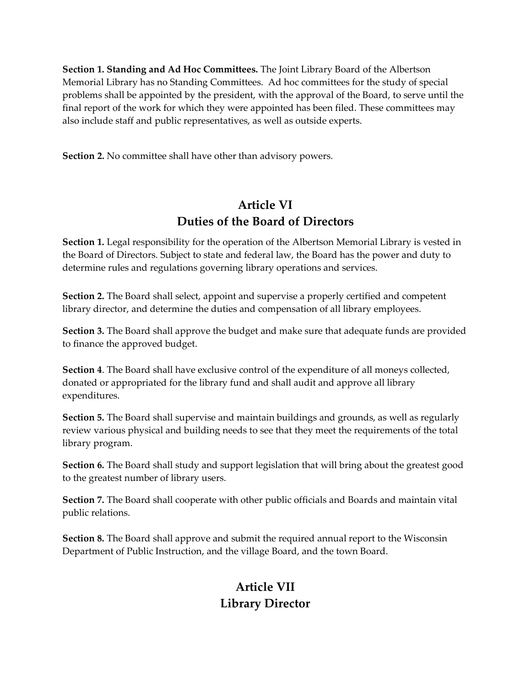**Section 1. Standing and Ad Hoc Committees.** The Joint Library Board of the Albertson Memorial Library has no Standing Committees. Ad hoc committees for the study of special problems shall be appointed by the president, with the approval of the Board, to serve until the final report of the work for which they were appointed has been filed. These committees may also include staff and public representatives, as well as outside experts.

**Section 2.** No committee shall have other than advisory powers.

### **Article VI Duties of the Board of Directors**

**Section 1.** Legal responsibility for the operation of the Albertson Memorial Library is vested in the Board of Directors. Subject to state and federal law, the Board has the power and duty to determine rules and regulations governing library operations and services.

**Section 2.** The Board shall select, appoint and supervise a properly certified and competent library director, and determine the duties and compensation of all library employees.

**Section 3.** The Board shall approve the budget and make sure that adequate funds are provided to finance the approved budget.

**Section 4**. The Board shall have exclusive control of the expenditure of all moneys collected, donated or appropriated for the library fund and shall audit and approve all library expenditures.

**Section 5.** The Board shall supervise and maintain buildings and grounds, as well as regularly review various physical and building needs to see that they meet the requirements of the total library program.

**Section 6.** The Board shall study and support legislation that will bring about the greatest good to the greatest number of library users.

**Section 7.** The Board shall cooperate with other public officials and Boards and maintain vital public relations.

**Section 8.** The Board shall approve and submit the required annual report to the Wisconsin Department of Public Instruction, and the village Board, and the town Board.

## **Article VII Library Director**